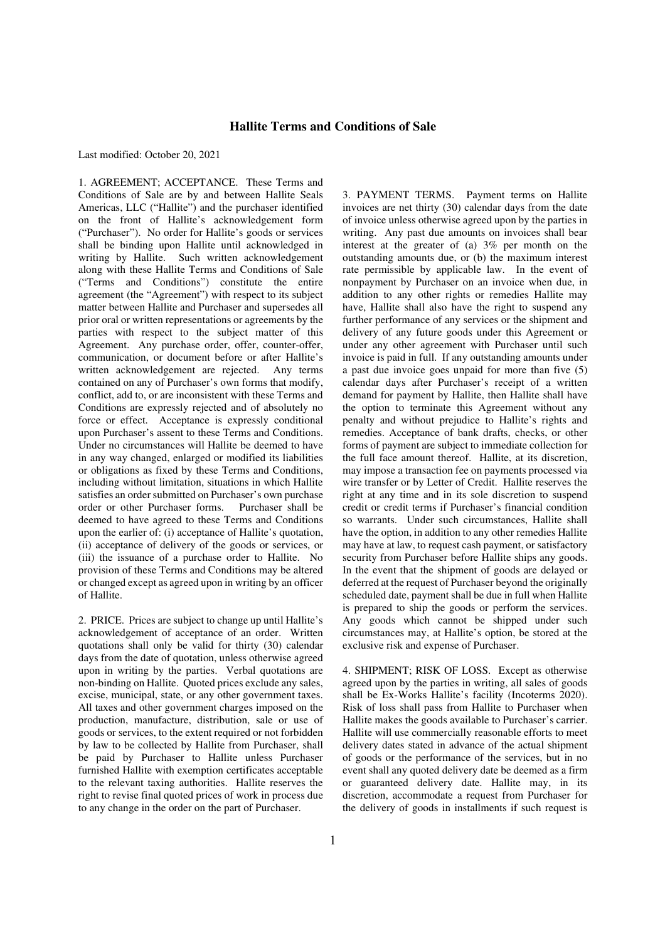## **Hallite Terms and Conditions of Sale**

Last modified: October 20, 2021

1. AGREEMENT; ACCEPTANCE. These Terms and Conditions of Sale are by and between Hallite Seals Americas, LLC ("Hallite") and the purchaser identified on the front of Hallite's acknowledgement form ("Purchaser"). No order for Hallite's goods or services shall be binding upon Hallite until acknowledged in writing by Hallite. Such written acknowledgement along with these Hallite Terms and Conditions of Sale ("Terms and Conditions") constitute the entire agreement (the "Agreement") with respect to its subject matter between Hallite and Purchaser and supersedes all prior oral or written representations or agreements by the parties with respect to the subject matter of this Agreement. Any purchase order, offer, counter-offer, communication, or document before or after Hallite's written acknowledgement are rejected. Any terms contained on any of Purchaser's own forms that modify, conflict, add to, or are inconsistent with these Terms and Conditions are expressly rejected and of absolutely no force or effect. Acceptance is expressly conditional upon Purchaser's assent to these Terms and Conditions. Under no circumstances will Hallite be deemed to have in any way changed, enlarged or modified its liabilities or obligations as fixed by these Terms and Conditions, including without limitation, situations in which Hallite satisfies an order submitted on Purchaser's own purchase order or other Purchaser forms. Purchaser shall be deemed to have agreed to these Terms and Conditions upon the earlier of: (i) acceptance of Hallite's quotation, (ii) acceptance of delivery of the goods or services, or (iii) the issuance of a purchase order to Hallite. No provision of these Terms and Conditions may be altered or changed except as agreed upon in writing by an officer of Hallite.

2. PRICE. Prices are subject to change up until Hallite's acknowledgement of acceptance of an order. Written quotations shall only be valid for thirty (30) calendar days from the date of quotation, unless otherwise agreed upon in writing by the parties. Verbal quotations are non-binding on Hallite. Quoted prices exclude any sales, excise, municipal, state, or any other government taxes. All taxes and other government charges imposed on the production, manufacture, distribution, sale or use of goods or services, to the extent required or not forbidden by law to be collected by Hallite from Purchaser, shall be paid by Purchaser to Hallite unless Purchaser furnished Hallite with exemption certificates acceptable to the relevant taxing authorities. Hallite reserves the right to revise final quoted prices of work in process due to any change in the order on the part of Purchaser.

3. PAYMENT TERMS. Payment terms on Hallite invoices are net thirty (30) calendar days from the date of invoice unless otherwise agreed upon by the parties in writing. Any past due amounts on invoices shall bear interest at the greater of (a) 3% per month on the outstanding amounts due, or (b) the maximum interest rate permissible by applicable law. In the event of nonpayment by Purchaser on an invoice when due, in addition to any other rights or remedies Hallite may have, Hallite shall also have the right to suspend any further performance of any services or the shipment and delivery of any future goods under this Agreement or under any other agreement with Purchaser until such invoice is paid in full. If any outstanding amounts under a past due invoice goes unpaid for more than five (5) calendar days after Purchaser's receipt of a written demand for payment by Hallite, then Hallite shall have the option to terminate this Agreement without any penalty and without prejudice to Hallite's rights and remedies. Acceptance of bank drafts, checks, or other forms of payment are subject to immediate collection for the full face amount thereof. Hallite, at its discretion, may impose a transaction fee on payments processed via wire transfer or by Letter of Credit. Hallite reserves the right at any time and in its sole discretion to suspend credit or credit terms if Purchaser's financial condition so warrants. Under such circumstances, Hallite shall have the option, in addition to any other remedies Hallite may have at law, to request cash payment, or satisfactory security from Purchaser before Hallite ships any goods. In the event that the shipment of goods are delayed or deferred at the request of Purchaser beyond the originally scheduled date, payment shall be due in full when Hallite is prepared to ship the goods or perform the services. Any goods which cannot be shipped under such circumstances may, at Hallite's option, be stored at the exclusive risk and expense of Purchaser.

4. SHIPMENT; RISK OF LOSS. Except as otherwise agreed upon by the parties in writing, all sales of goods shall be Ex-Works Hallite's facility (Incoterms 2020). Risk of loss shall pass from Hallite to Purchaser when Hallite makes the goods available to Purchaser's carrier. Hallite will use commercially reasonable efforts to meet delivery dates stated in advance of the actual shipment of goods or the performance of the services, but in no event shall any quoted delivery date be deemed as a firm or guaranteed delivery date. Hallite may, in its discretion, accommodate a request from Purchaser for the delivery of goods in installments if such request is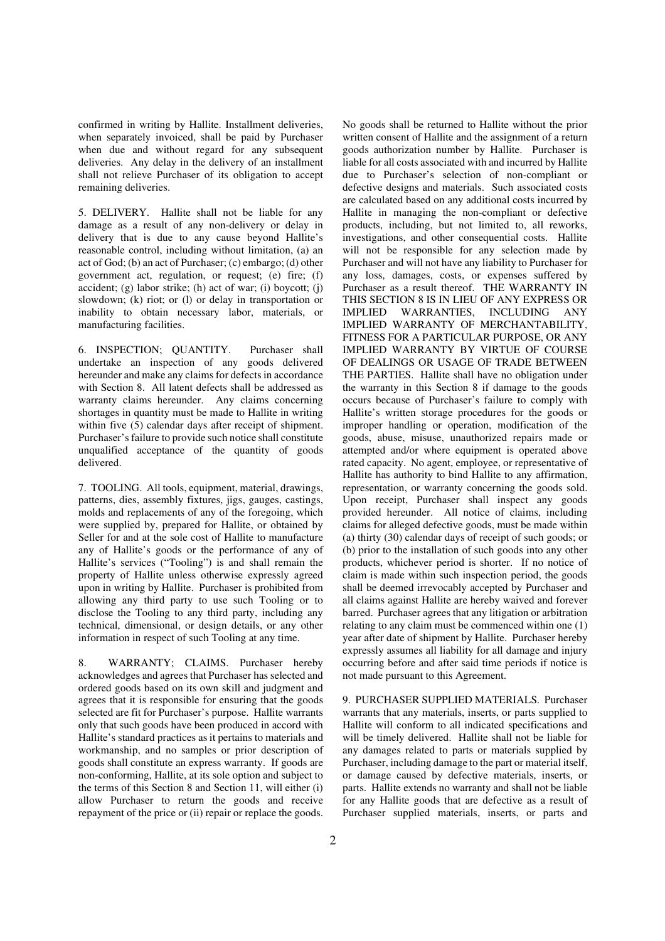confirmed in writing by Hallite. Installment deliveries, when separately invoiced, shall be paid by Purchaser when due and without regard for any subsequent deliveries. Any delay in the delivery of an installment shall not relieve Purchaser of its obligation to accept remaining deliveries.

5. DELIVERY. Hallite shall not be liable for any damage as a result of any non-delivery or delay in delivery that is due to any cause beyond Hallite's reasonable control, including without limitation, (a) an act of God; (b) an act of Purchaser; (c) embargo; (d) other government act, regulation, or request; (e) fire; (f) accident; (g) labor strike; (h) act of war; (i) boycott; (j) slowdown; (k) riot; or (l) or delay in transportation or inability to obtain necessary labor, materials, or manufacturing facilities.

6. INSPECTION; QUANTITY. Purchaser shall undertake an inspection of any goods delivered hereunder and make any claims for defects in accordance with Section 8. All latent defects shall be addressed as warranty claims hereunder. Any claims concerning shortages in quantity must be made to Hallite in writing within five  $(5)$  calendar days after receipt of shipment. Purchaser's failure to provide such notice shall constitute unqualified acceptance of the quantity of goods delivered.

7. TOOLING. All tools, equipment, material, drawings, patterns, dies, assembly fixtures, jigs, gauges, castings, molds and replacements of any of the foregoing, which were supplied by, prepared for Hallite, or obtained by Seller for and at the sole cost of Hallite to manufacture any of Hallite's goods or the performance of any of Hallite's services ("Tooling") is and shall remain the property of Hallite unless otherwise expressly agreed upon in writing by Hallite. Purchaser is prohibited from allowing any third party to use such Tooling or to disclose the Tooling to any third party, including any technical, dimensional, or design details, or any other information in respect of such Tooling at any time.

8. WARRANTY; CLAIMS. Purchaser hereby acknowledges and agrees that Purchaser has selected and ordered goods based on its own skill and judgment and agrees that it is responsible for ensuring that the goods selected are fit for Purchaser's purpose. Hallite warrants only that such goods have been produced in accord with Hallite's standard practices as it pertains to materials and workmanship, and no samples or prior description of goods shall constitute an express warranty. If goods are non-conforming, Hallite, at its sole option and subject to the terms of this Section 8 and Section 11, will either (i) allow Purchaser to return the goods and receive repayment of the price or (ii) repair or replace the goods.

No goods shall be returned to Hallite without the prior written consent of Hallite and the assignment of a return goods authorization number by Hallite. Purchaser is liable for all costs associated with and incurred by Hallite due to Purchaser's selection of non-compliant or defective designs and materials. Such associated costs are calculated based on any additional costs incurred by Hallite in managing the non-compliant or defective products, including, but not limited to, all reworks, investigations, and other consequential costs. Hallite will not be responsible for any selection made by Purchaser and will not have any liability to Purchaser for any loss, damages, costs, or expenses suffered by Purchaser as a result thereof. THE WARRANTY IN THIS SECTION 8 IS IN LIEU OF ANY EXPRESS OR IMPLIED WARRANTIES, INCLUDING ANY IMPLIED WARRANTY OF MERCHANTABILITY, FITNESS FOR A PARTICULAR PURPOSE, OR ANY IMPLIED WARRANTY BY VIRTUE OF COURSE OF DEALINGS OR USAGE OF TRADE BETWEEN THE PARTIES. Hallite shall have no obligation under the warranty in this Section 8 if damage to the goods occurs because of Purchaser's failure to comply with Hallite's written storage procedures for the goods or improper handling or operation, modification of the goods, abuse, misuse, unauthorized repairs made or attempted and/or where equipment is operated above rated capacity. No agent, employee, or representative of Hallite has authority to bind Hallite to any affirmation, representation, or warranty concerning the goods sold. Upon receipt, Purchaser shall inspect any goods provided hereunder. All notice of claims, including claims for alleged defective goods, must be made within (a) thirty (30) calendar days of receipt of such goods; or (b) prior to the installation of such goods into any other products, whichever period is shorter. If no notice of claim is made within such inspection period, the goods shall be deemed irrevocably accepted by Purchaser and all claims against Hallite are hereby waived and forever barred. Purchaser agrees that any litigation or arbitration relating to any claim must be commenced within one (1) year after date of shipment by Hallite. Purchaser hereby expressly assumes all liability for all damage and injury occurring before and after said time periods if notice is not made pursuant to this Agreement.

9. PURCHASER SUPPLIED MATERIALS. Purchaser warrants that any materials, inserts, or parts supplied to Hallite will conform to all indicated specifications and will be timely delivered. Hallite shall not be liable for any damages related to parts or materials supplied by Purchaser, including damage to the part or material itself, or damage caused by defective materials, inserts, or parts. Hallite extends no warranty and shall not be liable for any Hallite goods that are defective as a result of Purchaser supplied materials, inserts, or parts and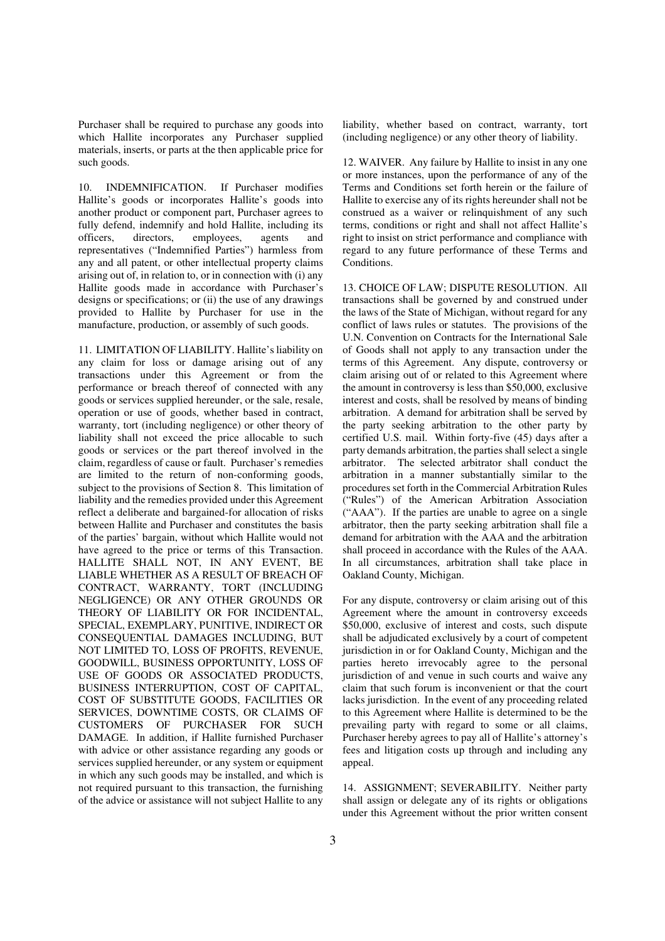Purchaser shall be required to purchase any goods into which Hallite incorporates any Purchaser supplied materials, inserts, or parts at the then applicable price for such goods.

10. INDEMNIFICATION. If Purchaser modifies Hallite's goods or incorporates Hallite's goods into another product or component part, Purchaser agrees to fully defend, indemnify and hold Hallite, including its officers, directors, employees, agents and representatives ("Indemnified Parties") harmless from any and all patent, or other intellectual property claims arising out of, in relation to, or in connection with (i) any Hallite goods made in accordance with Purchaser's designs or specifications; or (ii) the use of any drawings provided to Hallite by Purchaser for use in the manufacture, production, or assembly of such goods.

11. LIMITATION OF LIABILITY. Hallite's liability on any claim for loss or damage arising out of any transactions under this Agreement or from the performance or breach thereof of connected with any goods or services supplied hereunder, or the sale, resale, operation or use of goods, whether based in contract, warranty, tort (including negligence) or other theory of liability shall not exceed the price allocable to such goods or services or the part thereof involved in the claim, regardless of cause or fault. Purchaser's remedies are limited to the return of non-conforming goods, subject to the provisions of Section 8. This limitation of liability and the remedies provided under this Agreement reflect a deliberate and bargained-for allocation of risks between Hallite and Purchaser and constitutes the basis of the parties' bargain, without which Hallite would not have agreed to the price or terms of this Transaction. HALLITE SHALL NOT, IN ANY EVENT, BE LIABLE WHETHER AS A RESULT OF BREACH OF CONTRACT, WARRANTY, TORT (INCLUDING NEGLIGENCE) OR ANY OTHER GROUNDS OR THEORY OF LIABILITY OR FOR INCIDENTAL, SPECIAL, EXEMPLARY, PUNITIVE, INDIRECT OR CONSEQUENTIAL DAMAGES INCLUDING, BUT NOT LIMITED TO, LOSS OF PROFITS, REVENUE, GOODWILL, BUSINESS OPPORTUNITY, LOSS OF USE OF GOODS OR ASSOCIATED PRODUCTS, BUSINESS INTERRUPTION, COST OF CAPITAL, COST OF SUBSTITUTE GOODS, FACILITIES OR SERVICES, DOWNTIME COSTS, OR CLAIMS OF CUSTOMERS OF PURCHASER FOR SUCH DAMAGE. In addition, if Hallite furnished Purchaser with advice or other assistance regarding any goods or services supplied hereunder, or any system or equipment in which any such goods may be installed, and which is not required pursuant to this transaction, the furnishing of the advice or assistance will not subject Hallite to any

liability, whether based on contract, warranty, tort (including negligence) or any other theory of liability.

12. WAIVER. Any failure by Hallite to insist in any one or more instances, upon the performance of any of the Terms and Conditions set forth herein or the failure of Hallite to exercise any of its rights hereunder shall not be construed as a waiver or relinquishment of any such terms, conditions or right and shall not affect Hallite's right to insist on strict performance and compliance with regard to any future performance of these Terms and Conditions.

13. CHOICE OF LAW; DISPUTE RESOLUTION. All transactions shall be governed by and construed under the laws of the State of Michigan, without regard for any conflict of laws rules or statutes. The provisions of the U.N. Convention on Contracts for the International Sale of Goods shall not apply to any transaction under the terms of this Agreement. Any dispute, controversy or claim arising out of or related to this Agreement where the amount in controversy is less than \$50,000, exclusive interest and costs, shall be resolved by means of binding arbitration. A demand for arbitration shall be served by the party seeking arbitration to the other party by certified U.S. mail. Within forty-five (45) days after a party demands arbitration, the parties shall select a single arbitrator. The selected arbitrator shall conduct the arbitration in a manner substantially similar to the procedures set forth in the Commercial Arbitration Rules ("Rules") of the American Arbitration Association ("AAA"). If the parties are unable to agree on a single arbitrator, then the party seeking arbitration shall file a demand for arbitration with the AAA and the arbitration shall proceed in accordance with the Rules of the AAA. In all circumstances, arbitration shall take place in Oakland County, Michigan.

For any dispute, controversy or claim arising out of this Agreement where the amount in controversy exceeds \$50,000, exclusive of interest and costs, such dispute shall be adjudicated exclusively by a court of competent jurisdiction in or for Oakland County, Michigan and the parties hereto irrevocably agree to the personal jurisdiction of and venue in such courts and waive any claim that such forum is inconvenient or that the court lacks jurisdiction. In the event of any proceeding related to this Agreement where Hallite is determined to be the prevailing party with regard to some or all claims, Purchaser hereby agrees to pay all of Hallite's attorney's fees and litigation costs up through and including any appeal.

14. ASSIGNMENT; SEVERABILITY. Neither party shall assign or delegate any of its rights or obligations under this Agreement without the prior written consent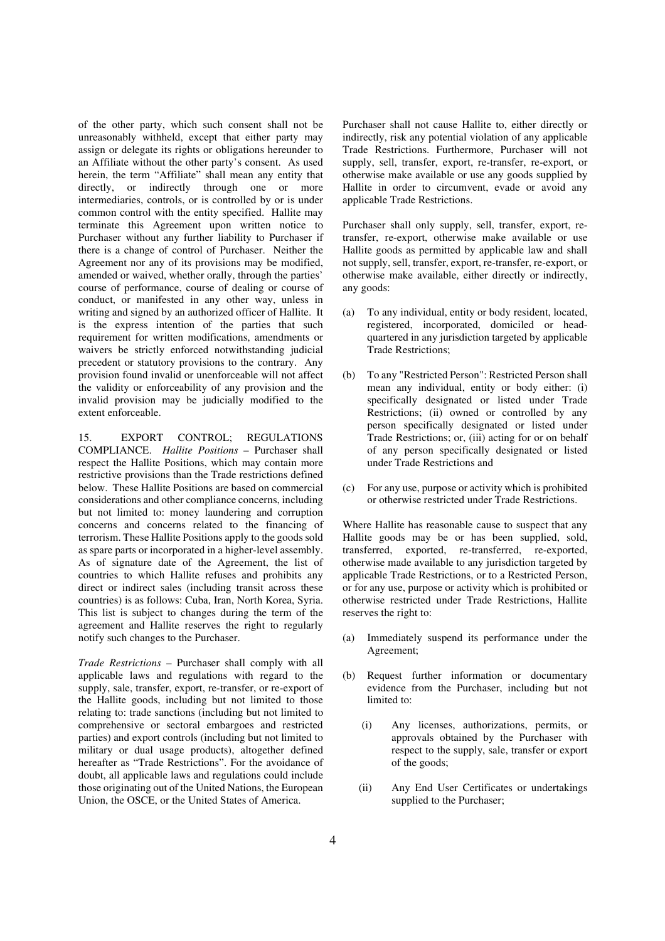of the other party, which such consent shall not be unreasonably withheld, except that either party may assign or delegate its rights or obligations hereunder to an Affiliate without the other party's consent. As used herein, the term "Affiliate" shall mean any entity that directly, or indirectly through one or more intermediaries, controls, or is controlled by or is under common control with the entity specified. Hallite may terminate this Agreement upon written notice to Purchaser without any further liability to Purchaser if there is a change of control of Purchaser. Neither the Agreement nor any of its provisions may be modified, amended or waived, whether orally, through the parties' course of performance, course of dealing or course of conduct, or manifested in any other way, unless in writing and signed by an authorized officer of Hallite. It is the express intention of the parties that such requirement for written modifications, amendments or waivers be strictly enforced notwithstanding judicial precedent or statutory provisions to the contrary. Any provision found invalid or unenforceable will not affect the validity or enforceability of any provision and the invalid provision may be judicially modified to the extent enforceable.

15. EXPORT CONTROL; REGULATIONS COMPLIANCE. *Hallite Positions* – Purchaser shall respect the Hallite Positions, which may contain more restrictive provisions than the Trade restrictions defined below. These Hallite Positions are based on commercial considerations and other compliance concerns, including but not limited to: money laundering and corruption concerns and concerns related to the financing of terrorism. These Hallite Positions apply to the goods sold as spare parts or incorporated in a higher-level assembly. As of signature date of the Agreement, the list of countries to which Hallite refuses and prohibits any direct or indirect sales (including transit across these countries) is as follows: Cuba, Iran, North Korea, Syria. This list is subject to changes during the term of the agreement and Hallite reserves the right to regularly notify such changes to the Purchaser.

*Trade Restrictions* – Purchaser shall comply with all applicable laws and regulations with regard to the supply, sale, transfer, export, re-transfer, or re-export of the Hallite goods, including but not limited to those relating to: trade sanctions (including but not limited to comprehensive or sectoral embargoes and restricted parties) and export controls (including but not limited to military or dual usage products), altogether defined hereafter as "Trade Restrictions". For the avoidance of doubt, all applicable laws and regulations could include those originating out of the United Nations, the European Union, the OSCE, or the United States of America.

Purchaser shall not cause Hallite to, either directly or indirectly, risk any potential violation of any applicable Trade Restrictions. Furthermore, Purchaser will not supply, sell, transfer, export, re-transfer, re-export, or otherwise make available or use any goods supplied by Hallite in order to circumvent, evade or avoid any applicable Trade Restrictions.

Purchaser shall only supply, sell, transfer, export, retransfer, re-export, otherwise make available or use Hallite goods as permitted by applicable law and shall not supply, sell, transfer, export, re-transfer, re-export, or otherwise make available, either directly or indirectly, any goods:

- (a) To any individual, entity or body resident, located, registered, incorporated, domiciled or headquartered in any jurisdiction targeted by applicable Trade Restrictions;
- (b) To any "Restricted Person": Restricted Person shall mean any individual, entity or body either: (i) specifically designated or listed under Trade Restrictions; (ii) owned or controlled by any person specifically designated or listed under Trade Restrictions; or, (iii) acting for or on behalf of any person specifically designated or listed under Trade Restrictions and
- (c) For any use, purpose or activity which is prohibited or otherwise restricted under Trade Restrictions.

Where Hallite has reasonable cause to suspect that any Hallite goods may be or has been supplied, sold, transferred, exported, re-transferred, re-exported, otherwise made available to any jurisdiction targeted by applicable Trade Restrictions, or to a Restricted Person, or for any use, purpose or activity which is prohibited or otherwise restricted under Trade Restrictions, Hallite reserves the right to:

- (a) Immediately suspend its performance under the Agreement;
- (b) Request further information or documentary evidence from the Purchaser, including but not limited to:
	- (i) Any licenses, authorizations, permits, or approvals obtained by the Purchaser with respect to the supply, sale, transfer or export of the goods;
	- (ii) Any End User Certificates or undertakings supplied to the Purchaser;